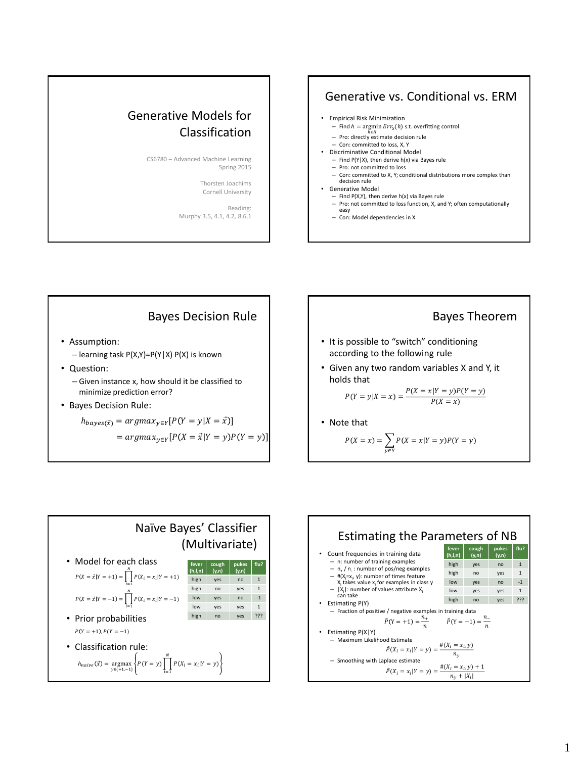## Generative Models for Classification

CS6780 – Advanced Machine Learning Spring 2015

> Thorsten Joachims Cornell University

Reading: Murphy 3.5, 4.1, 4.2, 8.6.1

## Generative vs. Conditional vs. ERM



- $-$  Find  $h = \argmin Err_{S}(h)$  s.t. overfitting control
- h∈H<br>
Pro: directly estimate decision rule
- Con: committed to loss, X, Y
- Discriminative Conditional Model
	- $-$  Find P(Y|X), then derive h(x) via Bayes rule
	- Pro: not committed to loss
	- Con: committed to X, Y; conditional distributions more complex than decision rule
- Generative Model
	- Find P(X,Y), then derive h(x) via Bayes rule
	- Pro: not committed to loss function, X, and Y; often computationally easy
	- Con: Model dependencies in X

## Bayes Decision Rule

- Assumption:
	- learning task P(X,Y)=P(Y|X) P(X) is known
- Question:
	- Given instance x, how should it be classified to minimize prediction error?
- Bayes Decision Rule:

$$
h_{bayes(\vec{x})} = argmax_{y \in Y} [P(Y = y | X = \vec{x})]
$$

$$
= argmax_{y \in Y} [P(X = \vec{x}|Y = y)P(Y = y)]
$$